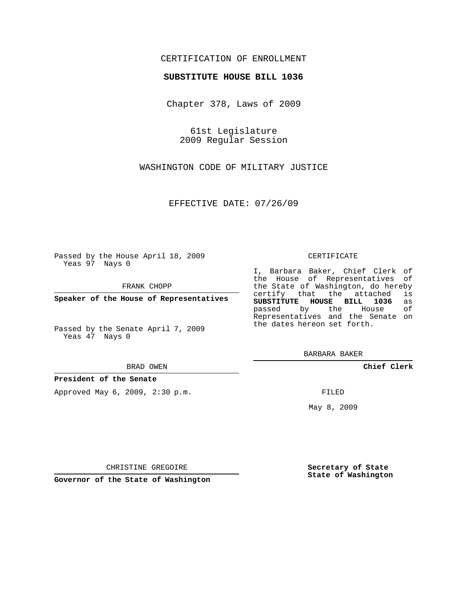### CERTIFICATION OF ENROLLMENT

### **SUBSTITUTE HOUSE BILL 1036**

Chapter 378, Laws of 2009

61st Legislature 2009 Regular Session

WASHINGTON CODE OF MILITARY JUSTICE

EFFECTIVE DATE: 07/26/09

Passed by the House April 18, 2009 Yeas 97 Nays 0

FRANK CHOPP

**Speaker of the House of Representatives**

Passed by the Senate April 7, 2009 Yeas 47 Nays 0

#### BRAD OWEN

#### **President of the Senate**

Approved May 6, 2009, 2:30 p.m.

### CERTIFICATE

I, Barbara Baker, Chief Clerk of the House of Representatives of the State of Washington, do hereby<br>certify that the attached is certify that the attached **SUBSTITUTE HOUSE BILL 1036** as passed by the House Representatives and the Senate on the dates hereon set forth.

BARBARA BAKER

**Chief Clerk**

FILED

May 8, 2009

**Secretary of State State of Washington**

CHRISTINE GREGOIRE

**Governor of the State of Washington**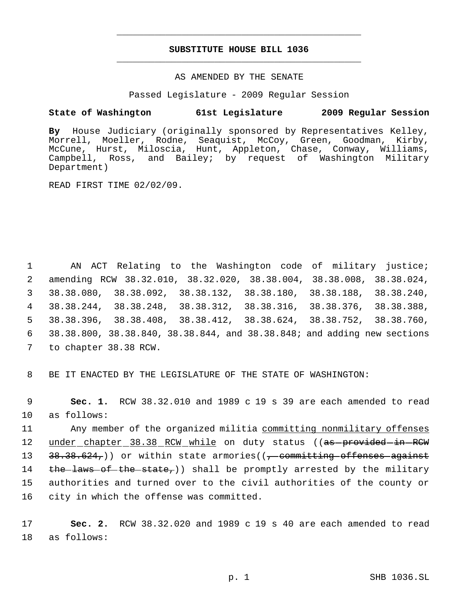# **SUBSTITUTE HOUSE BILL 1036** \_\_\_\_\_\_\_\_\_\_\_\_\_\_\_\_\_\_\_\_\_\_\_\_\_\_\_\_\_\_\_\_\_\_\_\_\_\_\_\_\_\_\_\_\_

\_\_\_\_\_\_\_\_\_\_\_\_\_\_\_\_\_\_\_\_\_\_\_\_\_\_\_\_\_\_\_\_\_\_\_\_\_\_\_\_\_\_\_\_\_

### AS AMENDED BY THE SENATE

Passed Legislature - 2009 Regular Session

## **State of Washington 61st Legislature 2009 Regular Session**

**By** House Judiciary (originally sponsored by Representatives Kelley, Morrell, Moeller, Rodne, Seaquist, McCoy, Green, Goodman, Kirby, McCune, Hurst, Miloscia, Hunt, Appleton, Chase, Conway, Williams, Campbell, Ross, and Bailey; by request of Washington Military Department)

READ FIRST TIME 02/02/09.

 AN ACT Relating to the Washington code of military justice; amending RCW 38.32.010, 38.32.020, 38.38.004, 38.38.008, 38.38.024, 38.38.080, 38.38.092, 38.38.132, 38.38.180, 38.38.188, 38.38.240, 38.38.244, 38.38.248, 38.38.312, 38.38.316, 38.38.376, 38.38.388, 38.38.396, 38.38.408, 38.38.412, 38.38.624, 38.38.752, 38.38.760, 38.38.800, 38.38.840, 38.38.844, and 38.38.848; and adding new sections to chapter 38.38 RCW.

8 BE IT ENACTED BY THE LEGISLATURE OF THE STATE OF WASHINGTON:

 9 **Sec. 1.** RCW 38.32.010 and 1989 c 19 s 39 are each amended to read 10 as follows:

11 Any member of the organized militia committing nonmilitary offenses 12 under chapter 38.38 RCW while on duty status ((as provided in RCW 13 38.38.624,)) or within state armories((<del>, committing offenses against</del> 14 the laws of the state,)) shall be promptly arrested by the military 15 authorities and turned over to the civil authorities of the county or 16 city in which the offense was committed.

17 **Sec. 2.** RCW 38.32.020 and 1989 c 19 s 40 are each amended to read 18 as follows: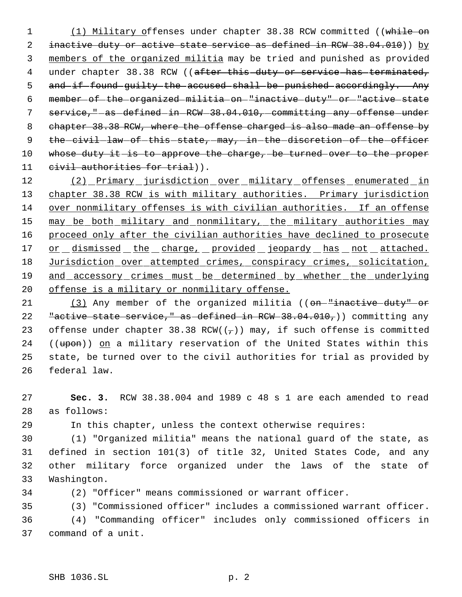1 (1) Military offenses under chapter 38.38 RCW committed ((while on 2 inactive duty or active state service as defined in RCW 38.04.010)) by 3 members of the organized militia may be tried and punished as provided 4 under chapter 38.38 RCW ((after this duty or service has terminated, 5 and if found guilty the accused shall be punished accordingly. Any 6 member of the organized militia on "inactive duty" or "active state 7 service,"-as-defined-in-RCW-38.04.010,-committing-any-offense-under 8 chapter 38.38 RCW, where the offense charged is also made an offense by 9 the civil law of this state, may, in the discretion of the officer 10 whose duty it is to approve the charge, be turned over to the proper 11 civil authorities for trial)).

12 (2) Primary jurisdiction over military offenses enumerated in 13 chapter 38.38 RCW is with military authorities. Primary jurisdiction 14 over nonmilitary offenses is with civilian authorities. If an offense 15 may be both military and nonmilitary, the military authorities may 16 proceed only after the civilian authorities have declined to prosecute 17 or dismissed the charge, provided jeopardy has not attached. 18 Jurisdiction over attempted crimes, conspiracy crimes, solicitation, 19 and accessory crimes must be determined by whether the underlying 20 offense is a military or nonmilitary offense.

21 (3) Any member of the organized militia ((on-"inactive duty" or 22 "active state service," as defined in RCW 38.04.010,)) committing any 23 offense under chapter 38.38 RCW( $(\tau)$ ) may, if such offense is committed 24 ((upon)) on a military reservation of the United States within this 25 state, be turned over to the civil authorities for trial as provided by 26 federal law.

27 **Sec. 3.** RCW 38.38.004 and 1989 c 48 s 1 are each amended to read 28 as follows:

29 In this chapter, unless the context otherwise requires:

 (1) "Organized militia" means the national guard of the state, as defined in section 101(3) of title 32, United States Code, and any other military force organized under the laws of the state of Washington.

34 (2) "Officer" means commissioned or warrant officer.

35 (3) "Commissioned officer" includes a commissioned warrant officer.

36 (4) "Commanding officer" includes only commissioned officers in 37 command of a unit.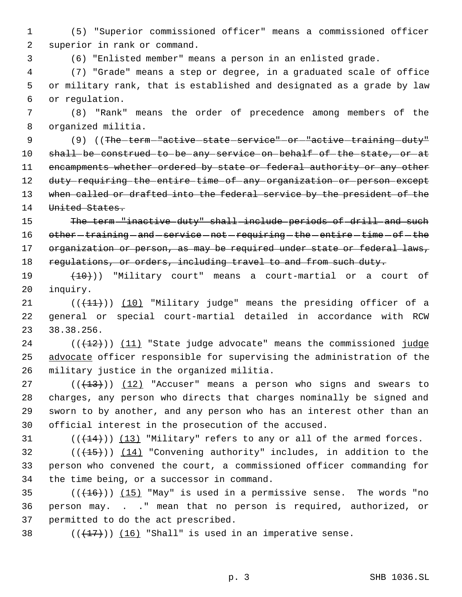(5) "Superior commissioned officer" means a commissioned officer superior in rank or command.

(6) "Enlisted member" means a person in an enlisted grade.

 (7) "Grade" means a step or degree, in a graduated scale of office or military rank, that is established and designated as a grade by law or regulation.

 (8) "Rank" means the order of precedence among members of the organized militia.

9 (9) ((The term - "active state service" - or - "active - training - duty" shall be construed to be any service on behalf of the state, or at 11 encampments whether ordered by state or federal authority or any other 12 duty requiring the entire time of any organization or person except 13 when called or drafted into the federal service by the president of the 14 United States.

 The term "inactive duty" shall include periods of drill and such 16 other training and service not requiring the entire time of the 17 organization or person, as may be required under state or federal laws, 18 requiations, or orders, including travel to and from such duty.

19  $(10)$  (10)) "Military court" means a court-martial or a court of inquiry.

 $((+1)^2)$  (10) "Military judge" means the presiding officer of a general or special court-martial detailed in accordance with RCW 38.38.256.

 ( $(\frac{12}{12})$ ) (11) "State judge advocate" means the commissioned judge 25 advocate officer responsible for supervising the administration of the military justice in the organized militia.

 ( $(\overline{+13})$ )  $(12)$  "Accuser" means a person who signs and swears to charges, any person who directs that charges nominally be signed and sworn to by another, and any person who has an interest other than an official interest in the prosecution of the accused.

 $(1, 14)$  ( $(1, 14)$ ) (13) "Military" refers to any or all of the armed forces.

32  $((+15))$   $(14)$  "Convening authority" includes, in addition to the person who convened the court, a commissioned officer commanding for the time being, or a successor in command.

35  $((+16))$   $(15)$  "May" is used in a permissive sense. The words "no person may. . ." mean that no person is required, authorized, or permitted to do the act prescribed.

38  $((\langle 17 \rangle)(16)$  "Shall" is used in an imperative sense.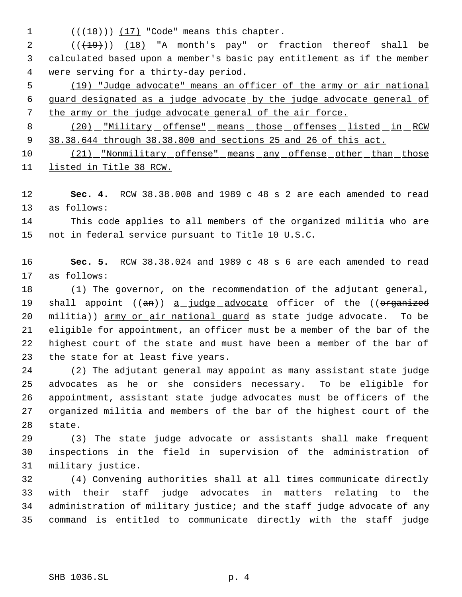1  $((+18))$   $(17)$  "Code" means this chapter.

2 (( $(19)$ )) (18) "A month's pay" or fraction thereof shall be calculated based upon a member's basic pay entitlement as if the member were serving for a thirty-day period.

 (19) "Judge advocate" means an officer of the army or air national guard designated as a judge advocate by the judge advocate general of the army or the judge advocate general of the air force.

8 (20) "Military offense" means those offenses listed in RCW 38.38.644 through 38.38.800 and sections 25 and 26 of this act.

10 (21) "Nonmilitary offense" means any offense other than those listed in Title 38 RCW.

 **Sec. 4.** RCW 38.38.008 and 1989 c 48 s 2 are each amended to read as follows:

 This code applies to all members of the organized militia who are 15 not in federal service pursuant to Title 10 U.S.C.

 **Sec. 5.** RCW 38.38.024 and 1989 c 48 s 6 are each amended to read as follows:

 (1) The governor, on the recommendation of the adjutant general, 19 shall appoint ((an)) a judge advocate officer of the ((organized 20 militia)) army or air national guard as state judge advocate. To be eligible for appointment, an officer must be a member of the bar of the highest court of the state and must have been a member of the bar of the state for at least five years.

 (2) The adjutant general may appoint as many assistant state judge advocates as he or she considers necessary. To be eligible for appointment, assistant state judge advocates must be officers of the organized militia and members of the bar of the highest court of the state.

 (3) The state judge advocate or assistants shall make frequent inspections in the field in supervision of the administration of military justice.

 (4) Convening authorities shall at all times communicate directly with their staff judge advocates in matters relating to the administration of military justice; and the staff judge advocate of any command is entitled to communicate directly with the staff judge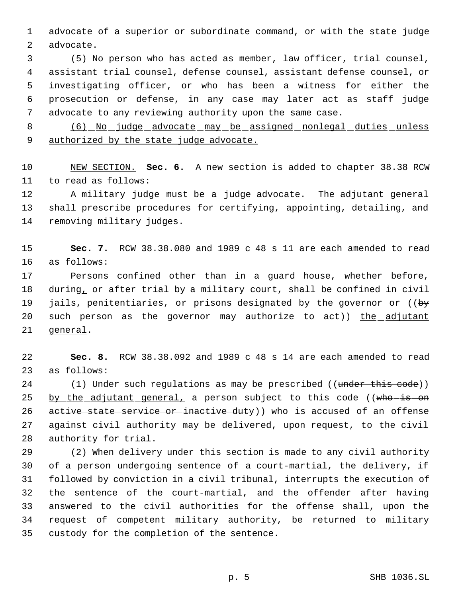advocate of a superior or subordinate command, or with the state judge advocate.

 (5) No person who has acted as member, law officer, trial counsel, assistant trial counsel, defense counsel, assistant defense counsel, or investigating officer, or who has been a witness for either the prosecution or defense, in any case may later act as staff judge advocate to any reviewing authority upon the same case.

8 (6) No judge advocate may be assigned nonlegal duties unless 9 authorized by the state judge advocate.

 NEW SECTION. **Sec. 6.** A new section is added to chapter 38.38 RCW to read as follows:

 A military judge must be a judge advocate. The adjutant general shall prescribe procedures for certifying, appointing, detailing, and removing military judges.

 **Sec. 7.** RCW 38.38.080 and 1989 c 48 s 11 are each amended to read as follows:

 Persons confined other than in a guard house, whether before, during, or after trial by a military court, shall be confined in civil 19 jails, penitentiaries, or prisons designated by the governor or ((by 20 such person - as - the - governor - may - authorize - to - act) ble adjutant general.

 **Sec. 8.** RCW 38.38.092 and 1989 c 48 s 14 are each amended to read as follows:

24 (1) Under such regulations as may be prescribed ((under this code)) by the adjutant general, a person subject to this code ((who-is-on 26 active state service or inactive duty)) who is accused of an offense against civil authority may be delivered, upon request, to the civil authority for trial.

 (2) When delivery under this section is made to any civil authority of a person undergoing sentence of a court-martial, the delivery, if followed by conviction in a civil tribunal, interrupts the execution of the sentence of the court-martial, and the offender after having answered to the civil authorities for the offense shall, upon the request of competent military authority, be returned to military custody for the completion of the sentence.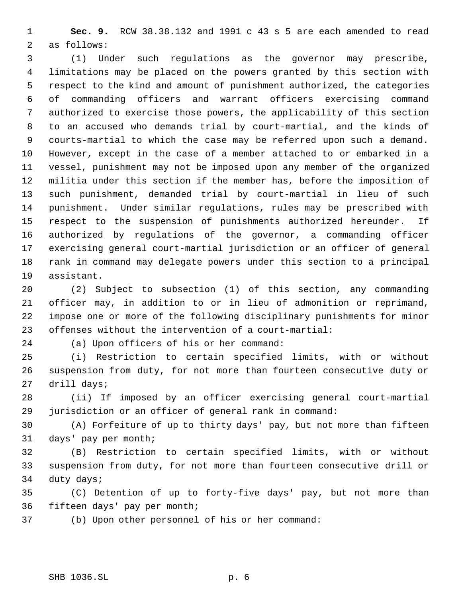**Sec. 9.** RCW 38.38.132 and 1991 c 43 s 5 are each amended to read as follows:

 (1) Under such regulations as the governor may prescribe, limitations may be placed on the powers granted by this section with respect to the kind and amount of punishment authorized, the categories of commanding officers and warrant officers exercising command authorized to exercise those powers, the applicability of this section to an accused who demands trial by court-martial, and the kinds of courts-martial to which the case may be referred upon such a demand. However, except in the case of a member attached to or embarked in a vessel, punishment may not be imposed upon any member of the organized militia under this section if the member has, before the imposition of such punishment, demanded trial by court-martial in lieu of such punishment. Under similar regulations, rules may be prescribed with respect to the suspension of punishments authorized hereunder. If authorized by regulations of the governor, a commanding officer exercising general court-martial jurisdiction or an officer of general rank in command may delegate powers under this section to a principal assistant.

 (2) Subject to subsection (1) of this section, any commanding officer may, in addition to or in lieu of admonition or reprimand, impose one or more of the following disciplinary punishments for minor offenses without the intervention of a court-martial:

(a) Upon officers of his or her command:

 (i) Restriction to certain specified limits, with or without suspension from duty, for not more than fourteen consecutive duty or drill days;

 (ii) If imposed by an officer exercising general court-martial jurisdiction or an officer of general rank in command:

 (A) Forfeiture of up to thirty days' pay, but not more than fifteen days' pay per month;

 (B) Restriction to certain specified limits, with or without suspension from duty, for not more than fourteen consecutive drill or duty days;

 (C) Detention of up to forty-five days' pay, but not more than fifteen days' pay per month;

(b) Upon other personnel of his or her command: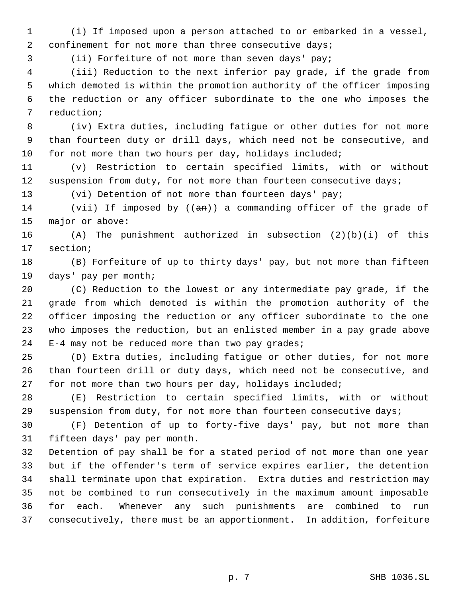(i) If imposed upon a person attached to or embarked in a vessel, 2 confinement for not more than three consecutive days;

(ii) Forfeiture of not more than seven days' pay;

 (iii) Reduction to the next inferior pay grade, if the grade from which demoted is within the promotion authority of the officer imposing the reduction or any officer subordinate to the one who imposes the reduction;

 (iv) Extra duties, including fatigue or other duties for not more than fourteen duty or drill days, which need not be consecutive, and for not more than two hours per day, holidays included;

 (v) Restriction to certain specified limits, with or without 12 suspension from duty, for not more than fourteen consecutive days;

(vi) Detention of not more than fourteen days' pay;

14 (vii) If imposed by ((an)) a commanding officer of the grade of major or above:

 (A) The punishment authorized in subsection (2)(b)(i) of this section;

 (B) Forfeiture of up to thirty days' pay, but not more than fifteen days' pay per month;

 (C) Reduction to the lowest or any intermediate pay grade, if the grade from which demoted is within the promotion authority of the officer imposing the reduction or any officer subordinate to the one who imposes the reduction, but an enlisted member in a pay grade above E-4 may not be reduced more than two pay grades;

 (D) Extra duties, including fatigue or other duties, for not more than fourteen drill or duty days, which need not be consecutive, and for not more than two hours per day, holidays included;

 (E) Restriction to certain specified limits, with or without suspension from duty, for not more than fourteen consecutive days;

 (F) Detention of up to forty-five days' pay, but not more than fifteen days' pay per month.

 Detention of pay shall be for a stated period of not more than one year but if the offender's term of service expires earlier, the detention shall terminate upon that expiration. Extra duties and restriction may not be combined to run consecutively in the maximum amount imposable for each. Whenever any such punishments are combined to run consecutively, there must be an apportionment. In addition, forfeiture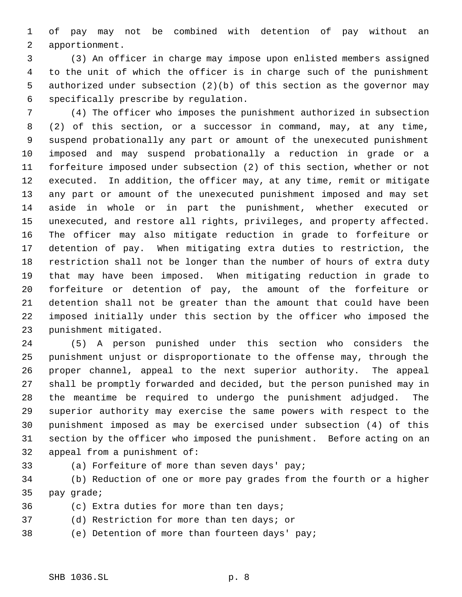of pay may not be combined with detention of pay without an apportionment.

 (3) An officer in charge may impose upon enlisted members assigned to the unit of which the officer is in charge such of the punishment authorized under subsection (2)(b) of this section as the governor may specifically prescribe by regulation.

 (4) The officer who imposes the punishment authorized in subsection (2) of this section, or a successor in command, may, at any time, suspend probationally any part or amount of the unexecuted punishment imposed and may suspend probationally a reduction in grade or a forfeiture imposed under subsection (2) of this section, whether or not executed. In addition, the officer may, at any time, remit or mitigate any part or amount of the unexecuted punishment imposed and may set aside in whole or in part the punishment, whether executed or unexecuted, and restore all rights, privileges, and property affected. The officer may also mitigate reduction in grade to forfeiture or detention of pay. When mitigating extra duties to restriction, the restriction shall not be longer than the number of hours of extra duty that may have been imposed. When mitigating reduction in grade to forfeiture or detention of pay, the amount of the forfeiture or detention shall not be greater than the amount that could have been imposed initially under this section by the officer who imposed the punishment mitigated.

 (5) A person punished under this section who considers the punishment unjust or disproportionate to the offense may, through the proper channel, appeal to the next superior authority. The appeal shall be promptly forwarded and decided, but the person punished may in the meantime be required to undergo the punishment adjudged. The superior authority may exercise the same powers with respect to the punishment imposed as may be exercised under subsection (4) of this section by the officer who imposed the punishment. Before acting on an appeal from a punishment of:

- 
- (a) Forfeiture of more than seven days' pay;

 (b) Reduction of one or more pay grades from the fourth or a higher pay grade;

- (c) Extra duties for more than ten days;
- (d) Restriction for more than ten days; or
- (e) Detention of more than fourteen days' pay;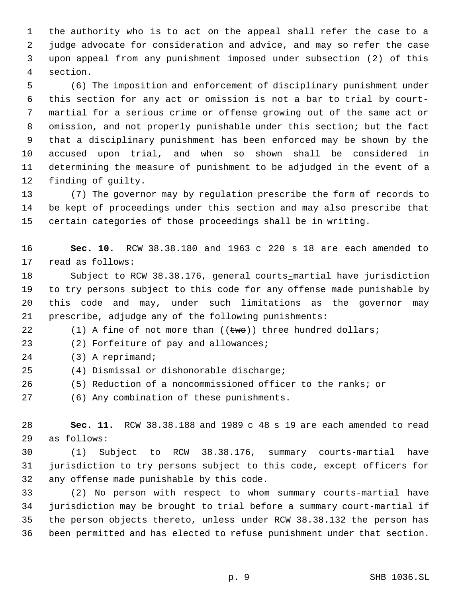the authority who is to act on the appeal shall refer the case to a judge advocate for consideration and advice, and may so refer the case upon appeal from any punishment imposed under subsection (2) of this section.

 (6) The imposition and enforcement of disciplinary punishment under this section for any act or omission is not a bar to trial by court- martial for a serious crime or offense growing out of the same act or omission, and not properly punishable under this section; but the fact that a disciplinary punishment has been enforced may be shown by the accused upon trial, and when so shown shall be considered in determining the measure of punishment to be adjudged in the event of a finding of guilty.

 (7) The governor may by regulation prescribe the form of records to be kept of proceedings under this section and may also prescribe that certain categories of those proceedings shall be in writing.

 **Sec. 10.** RCW 38.38.180 and 1963 c 220 s 18 are each amended to read as follows:

 Subject to RCW 38.38.176, general courts-martial have jurisdiction to try persons subject to this code for any offense made punishable by this code and may, under such limitations as the governor may prescribe, adjudge any of the following punishments:

22 (1) A fine of not more than  $((\text{two}))$  three hundred dollars;

(2) Forfeiture of pay and allowances;

- (3) A reprimand;
- (4) Dismissal or dishonorable discharge;
- (5) Reduction of a noncommissioned officer to the ranks; or

(6) Any combination of these punishments.

 **Sec. 11.** RCW 38.38.188 and 1989 c 48 s 19 are each amended to read as follows:

 (1) Subject to RCW 38.38.176, summary courts-martial have jurisdiction to try persons subject to this code, except officers for any offense made punishable by this code.

 (2) No person with respect to whom summary courts-martial have jurisdiction may be brought to trial before a summary court-martial if the person objects thereto, unless under RCW 38.38.132 the person has been permitted and has elected to refuse punishment under that section.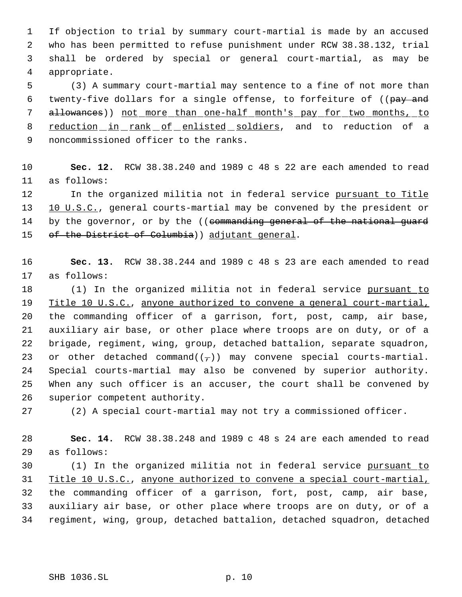If objection to trial by summary court-martial is made by an accused who has been permitted to refuse punishment under RCW 38.38.132, trial shall be ordered by special or general court-martial, as may be appropriate.

 (3) A summary court-martial may sentence to a fine of not more than 6 twenty-five dollars for a single offense, to forfeiture of ((pay and allowances)) not more than one-half month's pay for two months, to 8 reduction in rank of enlisted soldiers, and to reduction of a noncommissioned officer to the ranks.

 **Sec. 12.** RCW 38.38.240 and 1989 c 48 s 22 are each amended to read as follows:

12 In the organized militia not in federal service pursuant to Title 10 U.S.C., general courts-martial may be convened by the president or 14 by the governor, or by the ((commanding general of the national guard 15 of the District of Columbia) adjutant general.

 **Sec. 13.** RCW 38.38.244 and 1989 c 48 s 23 are each amended to read as follows:

18 (1) In the organized militia not in federal service pursuant to Title 10 U.S.C., anyone authorized to convene a general court-martial, the commanding officer of a garrison, fort, post, camp, air base, auxiliary air base, or other place where troops are on duty, or of a brigade, regiment, wing, group, detached battalion, separate squadron, 23 or other detached command( $(\tau)$ ) may convene special courts-martial. Special courts-martial may also be convened by superior authority. When any such officer is an accuser, the court shall be convened by superior competent authority.

(2) A special court-martial may not try a commissioned officer.

 **Sec. 14.** RCW 38.38.248 and 1989 c 48 s 24 are each amended to read as follows:

 (1) In the organized militia not in federal service pursuant to Title 10 U.S.C., anyone authorized to convene a special court-martial, the commanding officer of a garrison, fort, post, camp, air base, auxiliary air base, or other place where troops are on duty, or of a regiment, wing, group, detached battalion, detached squadron, detached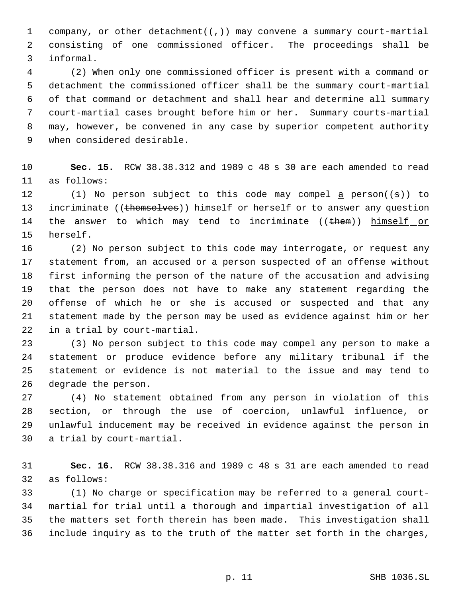1 company, or other detachment( $(\tau)$ ) may convene a summary court-martial consisting of one commissioned officer. The proceedings shall be informal.

 (2) When only one commissioned officer is present with a command or detachment the commissioned officer shall be the summary court-martial of that command or detachment and shall hear and determine all summary court-martial cases brought before him or her. Summary courts-martial may, however, be convened in any case by superior competent authority when considered desirable.

 **Sec. 15.** RCW 38.38.312 and 1989 c 48 s 30 are each amended to read as follows:

12 (1) No person subject to this code may compel  $\underline{a}$  person((s)) to 13 incriminate ((themselves)) himself or herself or to answer any question 14 the answer to which may tend to incriminate ((them)) himself or herself.

 (2) No person subject to this code may interrogate, or request any statement from, an accused or a person suspected of an offense without first informing the person of the nature of the accusation and advising that the person does not have to make any statement regarding the offense of which he or she is accused or suspected and that any statement made by the person may be used as evidence against him or her in a trial by court-martial.

 (3) No person subject to this code may compel any person to make a statement or produce evidence before any military tribunal if the statement or evidence is not material to the issue and may tend to degrade the person.

 (4) No statement obtained from any person in violation of this section, or through the use of coercion, unlawful influence, or unlawful inducement may be received in evidence against the person in a trial by court-martial.

 **Sec. 16.** RCW 38.38.316 and 1989 c 48 s 31 are each amended to read as follows:

 (1) No charge or specification may be referred to a general court- martial for trial until a thorough and impartial investigation of all the matters set forth therein has been made. This investigation shall include inquiry as to the truth of the matter set forth in the charges,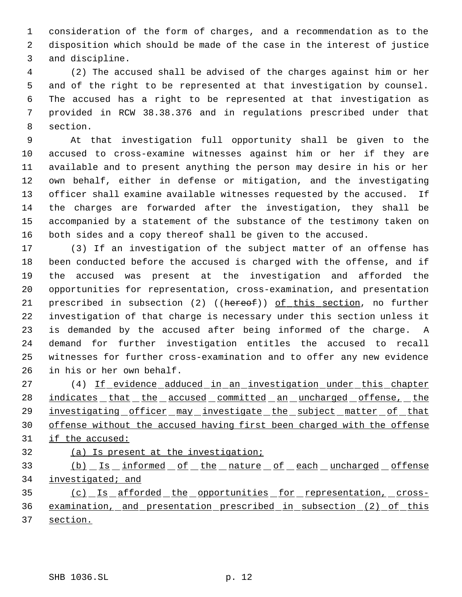consideration of the form of charges, and a recommendation as to the disposition which should be made of the case in the interest of justice and discipline.

 (2) The accused shall be advised of the charges against him or her and of the right to be represented at that investigation by counsel. The accused has a right to be represented at that investigation as provided in RCW 38.38.376 and in regulations prescribed under that section.

 At that investigation full opportunity shall be given to the accused to cross-examine witnesses against him or her if they are available and to present anything the person may desire in his or her own behalf, either in defense or mitigation, and the investigating officer shall examine available witnesses requested by the accused. If the charges are forwarded after the investigation, they shall be accompanied by a statement of the substance of the testimony taken on both sides and a copy thereof shall be given to the accused.

 (3) If an investigation of the subject matter of an offense has been conducted before the accused is charged with the offense, and if the accused was present at the investigation and afforded the opportunities for representation, cross-examination, and presentation 21 prescribed in subsection (2) ((hereof)) of this section, no further investigation of that charge is necessary under this section unless it is demanded by the accused after being informed of the charge. A demand for further investigation entitles the accused to recall witnesses for further cross-examination and to offer any new evidence in his or her own behalf.

 (4) If evidence adduced in an investigation under this chapter 28 indicates that the accused committed an uncharged offense, the 29 investigating officer may investigate the subject matter of that offense without the accused having first been charged with the offense 31 if the accused:

(a) Is present at the investigation;

33 (b) Is informed of the nature of each uncharged offense 34 investigated; and

 (c) Is afforded the opportunities for representation, cross- examination, and presentation prescribed in subsection (2) of this section.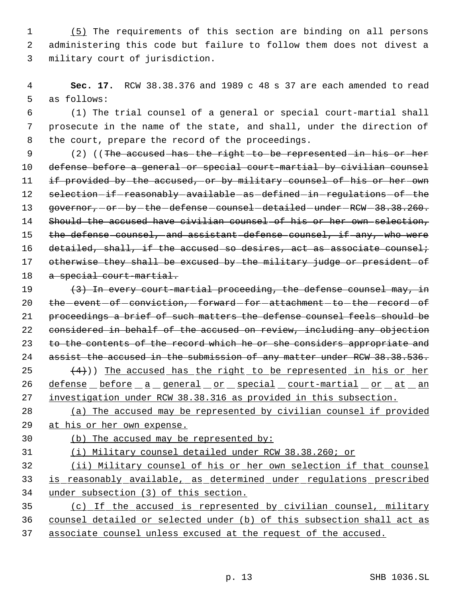(5) The requirements of this section are binding on all persons administering this code but failure to follow them does not divest a military court of jurisdiction.

 **Sec. 17.** RCW 38.38.376 and 1989 c 48 s 37 are each amended to read as follows:

 (1) The trial counsel of a general or special court-martial shall prosecute in the name of the state, and shall, under the direction of the court, prepare the record of the proceedings.

9 (2) ((The accused has the right to be represented in his or her defense before a general or special court-martial by civilian counsel 11 if provided by the accused, or by military counsel of his or her own 12 selection-if-reasonably-available-as-defined-in-regulations-of-the 13 governor, - or - by - the - defense - counsel - detailed - under - RCW - 38.38.260. 14 Should the accused have civilian counsel of his or her own selection, 15 the defense counsel, and assistant defense counsel, if any, who were 16 detailed, shall, if the accused so desires, act as associate counsel; 17 otherwise they shall be excused by the military judge or president of 18 a special court-martial.

 $(3)$  In every court-martial proceeding, the defense counsel may, in 20 the -event -of -conviction, -forward -for -attachment -to -the -record -of proceedings a brief of such matters the defense counsel feels should be considered in behalf of the accused on review, including any objection 23 to the contents of the record which he or she considers appropriate and 24 assist the accused in the submission of any matter under RCW 38.38.536.  $(4)$ )) The accused has the right to be represented in his or her 26 defense before a general or special court-martial or at an investigation under RCW 38.38.316 as provided in this subsection.

 (a) The accused may be represented by civilian counsel if provided at his or her own expense.

(b) The accused may be represented by:

(i) Military counsel detailed under RCW 38.38.260; or

 (ii) Military counsel of his or her own selection if that counsel is reasonably available, as determined under regulations prescribed under subsection (3) of this section.

 (c) If the accused is represented by civilian counsel, military counsel detailed or selected under (b) of this subsection shall act as associate counsel unless excused at the request of the accused.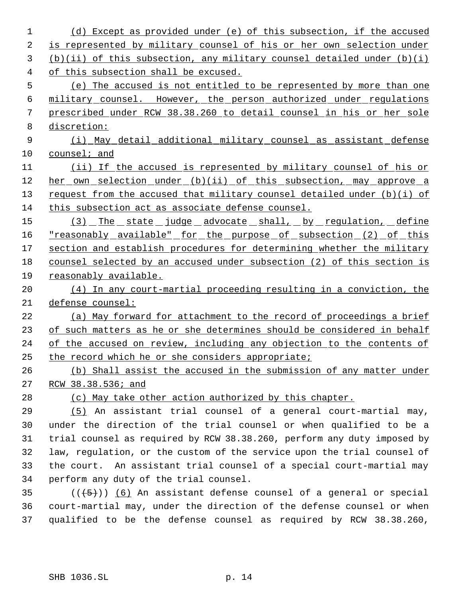(d) Except as provided under (e) of this subsection, if the accused 2 is represented by military counsel of his or her own selection under (b)(ii) of this subsection, any military counsel detailed under (b)(i) of this subsection shall be excused. (e) The accused is not entitled to be represented by more than one military counsel. However, the person authorized under regulations prescribed under RCW 38.38.260 to detail counsel in his or her sole discretion: (i) May detail additional military counsel as assistant defense counsel; and (ii) If the accused is represented by military counsel of his or her own selection under (b)(ii) of this subsection, may approve a 13 request from the accused that military counsel detailed under (b)(i) of 14 this subsection act as associate defense counsel. 15 (3) The state judge advocate shall, by regulation, define "reasonably available" for the purpose of subsection (2) of this 17 section and establish procedures for determining whether the military counsel selected by an accused under subsection (2) of this section is reasonably available. (4) In any court-martial proceeding resulting in a conviction, the defense counsel: (a) May forward for attachment to the record of proceedings a brief of such matters as he or she determines should be considered in behalf of the accused on review, including any objection to the contents of the record which he or she considers appropriate; (b) Shall assist the accused in the submission of any matter under RCW 38.38.536; and (c) May take other action authorized by this chapter. (5) An assistant trial counsel of a general court-martial may, under the direction of the trial counsel or when qualified to be a trial counsel as required by RCW 38.38.260, perform any duty imposed by law, regulation, or the custom of the service upon the trial counsel of the court. An assistant trial counsel of a special court-martial may perform any duty of the trial counsel.  $((+5))$   $(6)$  An assistant defense counsel of a general or special court-martial may, under the direction of the defense counsel or when qualified to be the defense counsel as required by RCW 38.38.260,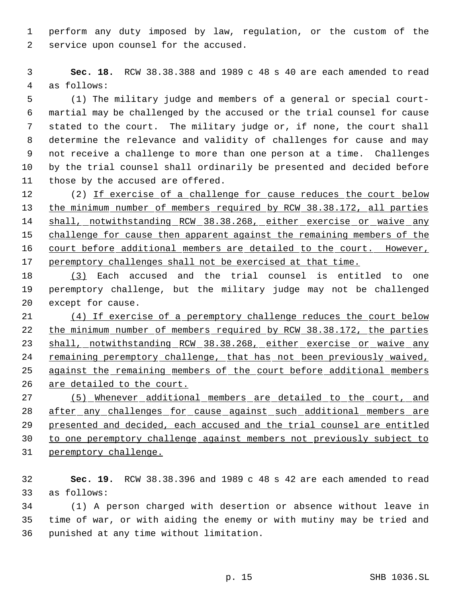perform any duty imposed by law, regulation, or the custom of the service upon counsel for the accused.

 **Sec. 18.** RCW 38.38.388 and 1989 c 48 s 40 are each amended to read as follows:

 (1) The military judge and members of a general or special court- martial may be challenged by the accused or the trial counsel for cause stated to the court. The military judge or, if none, the court shall determine the relevance and validity of challenges for cause and may not receive a challenge to more than one person at a time. Challenges by the trial counsel shall ordinarily be presented and decided before 11 those by the accused are offered.

12 (2) If exercise of a challenge for cause reduces the court below the minimum number of members required by RCW 38.38.172, all parties 14 shall, notwithstanding RCW 38.38.268, either exercise or waive any 15 challenge for cause then apparent against the remaining members of the 16 court before additional members are detailed to the court. However, peremptory challenges shall not be exercised at that time.

 (3) Each accused and the trial counsel is entitled to one peremptory challenge, but the military judge may not be challenged except for cause.

 (4) If exercise of a peremptory challenge reduces the court below 22 the minimum number of members required by RCW 38.38.172, the parties 23 shall, notwithstanding RCW 38.38.268, either exercise or waive any remaining peremptory challenge, that has not been previously waived, 25 against the remaining members of the court before additional members 26 are detailed to the court.

 (5) Whenever additional members are detailed to the court, and after any challenges for cause against such additional members are presented and decided, each accused and the trial counsel are entitled to one peremptory challenge against members not previously subject to peremptory challenge.

 **Sec. 19.** RCW 38.38.396 and 1989 c 48 s 42 are each amended to read as follows:

 (1) A person charged with desertion or absence without leave in time of war, or with aiding the enemy or with mutiny may be tried and punished at any time without limitation.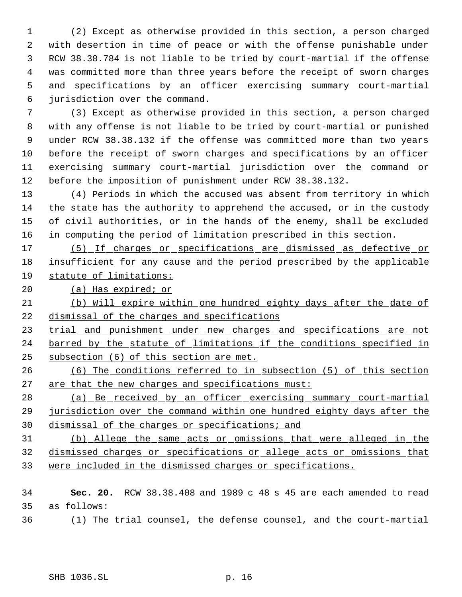(2) Except as otherwise provided in this section, a person charged with desertion in time of peace or with the offense punishable under RCW 38.38.784 is not liable to be tried by court-martial if the offense was committed more than three years before the receipt of sworn charges and specifications by an officer exercising summary court-martial jurisdiction over the command.

 (3) Except as otherwise provided in this section, a person charged with any offense is not liable to be tried by court-martial or punished under RCW 38.38.132 if the offense was committed more than two years before the receipt of sworn charges and specifications by an officer exercising summary court-martial jurisdiction over the command or before the imposition of punishment under RCW 38.38.132.

 (4) Periods in which the accused was absent from territory in which the state has the authority to apprehend the accused, or in the custody of civil authorities, or in the hands of the enemy, shall be excluded in computing the period of limitation prescribed in this section.

 (5) If charges or specifications are dismissed as defective or insufficient for any cause and the period prescribed by the applicable statute of limitations:

20 (a) Has expired; or

 (b) Will expire within one hundred eighty days after the date of dismissal of the charges and specifications

23 trial and punishment under new charges and specifications are not 24 barred by the statute of limitations if the conditions specified in subsection (6) of this section are met.

 (6) The conditions referred to in subsection (5) of this section 27 are that the new charges and specifications must:

 (a) Be received by an officer exercising summary court-martial jurisdiction over the command within one hundred eighty days after the dismissal of the charges or specifications; and

 (b) Allege the same acts or omissions that were alleged in the dismissed charges or specifications or allege acts or omissions that were included in the dismissed charges or specifications.

 **Sec. 20.** RCW 38.38.408 and 1989 c 48 s 45 are each amended to read as follows:

(1) The trial counsel, the defense counsel, and the court-martial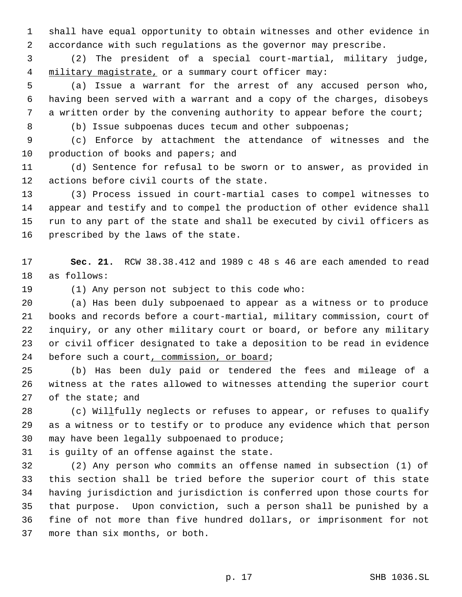shall have equal opportunity to obtain witnesses and other evidence in accordance with such regulations as the governor may prescribe.

 (2) The president of a special court-martial, military judge, 4 military magistrate, or a summary court officer may:

 (a) Issue a warrant for the arrest of any accused person who, having been served with a warrant and a copy of the charges, disobeys 7 a written order by the convening authority to appear before the court;

(b) Issue subpoenas duces tecum and other subpoenas;

 (c) Enforce by attachment the attendance of witnesses and the 10 production of books and papers; and

 (d) Sentence for refusal to be sworn or to answer, as provided in actions before civil courts of the state.

 (3) Process issued in court-martial cases to compel witnesses to appear and testify and to compel the production of other evidence shall run to any part of the state and shall be executed by civil officers as prescribed by the laws of the state.

 **Sec. 21.** RCW 38.38.412 and 1989 c 48 s 46 are each amended to read as follows:

(1) Any person not subject to this code who:

 (a) Has been duly subpoenaed to appear as a witness or to produce books and records before a court-martial, military commission, court of inquiry, or any other military court or board, or before any military or civil officer designated to take a deposition to be read in evidence 24 before such a court, commission, or board;

 (b) Has been duly paid or tendered the fees and mileage of a witness at the rates allowed to witnesses attending the superior court of the state; and

28 (c) Willfully neglects or refuses to appear, or refuses to qualify as a witness or to testify or to produce any evidence which that person may have been legally subpoenaed to produce;

is guilty of an offense against the state.

 (2) Any person who commits an offense named in subsection (1) of this section shall be tried before the superior court of this state having jurisdiction and jurisdiction is conferred upon those courts for that purpose. Upon conviction, such a person shall be punished by a fine of not more than five hundred dollars, or imprisonment for not more than six months, or both.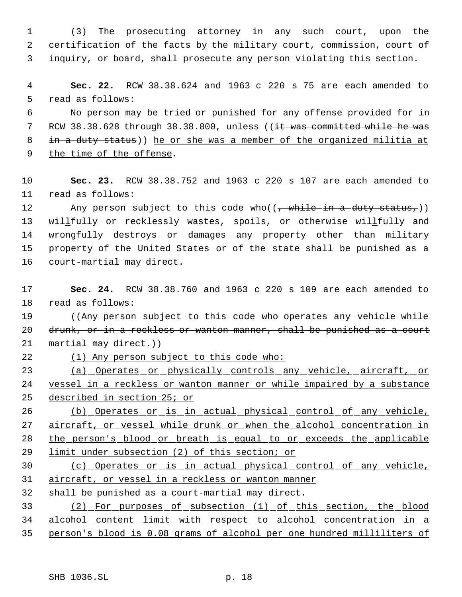(3) The prosecuting attorney in any such court, upon the certification of the facts by the military court, commission, court of inquiry, or board, shall prosecute any person violating this section.

 **Sec. 22.** RCW 38.38.624 and 1963 c 220 s 75 are each amended to read as follows:

 No person may be tried or punished for any offense provided for in 7 RCW 38.38.628 through 38.38.800, unless ((it was committed while he was 8 in a duty status)) he or she was a member of the organized militia at the time of the offense.

 **Sec. 23.** RCW 38.38.752 and 1963 c 220 s 107 are each amended to read as follows:

12 Any person subject to this code who( $(\frac{1}{2}$  while in a duty status,)) 13 willfully or recklessly wastes, spoils, or otherwise willfully and wrongfully destroys or damages any property other than military property of the United States or of the state shall be punished as a court-martial may direct.

 **Sec. 24.** RCW 38.38.760 and 1963 c 220 s 109 are each amended to read as follows:

19 ((Any person subject to this code who operates any vehicle while 20 drunk, or in a reckless or wanton manner, shall be punished as a court 21 martial may direct.))

(1) Any person subject to this code who:

 (a) Operates or physically controls any vehicle, aircraft, or vessel in a reckless or wanton manner or while impaired by a substance described in section 25; or

 (b) Operates or is in actual physical control of any vehicle, 27 aircraft, or vessel while drunk or when the alcohol concentration in the person's blood or breath is equal to or exceeds the applicable limit under subsection (2) of this section; or

 (c) Operates or is in actual physical control of any vehicle, aircraft, or vessel in a reckless or wanton manner

shall be punished as a court-martial may direct.

 (2) For purposes of subsection (1) of this section, the blood alcohol content limit with respect to alcohol concentration in a person's blood is 0.08 grams of alcohol per one hundred milliliters of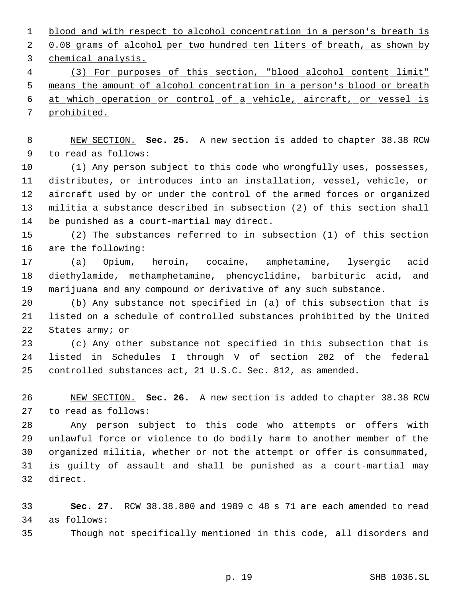1 blood and with respect to alcohol concentration in a person's breath is 2 0.08 grams of alcohol per two hundred ten liters of breath, as shown by chemical analysis.

 (3) For purposes of this section, "blood alcohol content limit" means the amount of alcohol concentration in a person's blood or breath at which operation or control of a vehicle, aircraft, or vessel is prohibited.

 NEW SECTION. **Sec. 25.** A new section is added to chapter 38.38 RCW to read as follows:

 (1) Any person subject to this code who wrongfully uses, possesses, distributes, or introduces into an installation, vessel, vehicle, or aircraft used by or under the control of the armed forces or organized militia a substance described in subsection (2) of this section shall be punished as a court-martial may direct.

 (2) The substances referred to in subsection (1) of this section are the following:

 (a) Opium, heroin, cocaine, amphetamine, lysergic acid diethylamide, methamphetamine, phencyclidine, barbituric acid, and marijuana and any compound or derivative of any such substance.

 (b) Any substance not specified in (a) of this subsection that is listed on a schedule of controlled substances prohibited by the United States army; or

 (c) Any other substance not specified in this subsection that is listed in Schedules I through V of section 202 of the federal controlled substances act, 21 U.S.C. Sec. 812, as amended.

 NEW SECTION. **Sec. 26.** A new section is added to chapter 38.38 RCW to read as follows:

 Any person subject to this code who attempts or offers with unlawful force or violence to do bodily harm to another member of the organized militia, whether or not the attempt or offer is consummated, is guilty of assault and shall be punished as a court-martial may direct.

 **Sec. 27.** RCW 38.38.800 and 1989 c 48 s 71 are each amended to read as follows:

Though not specifically mentioned in this code, all disorders and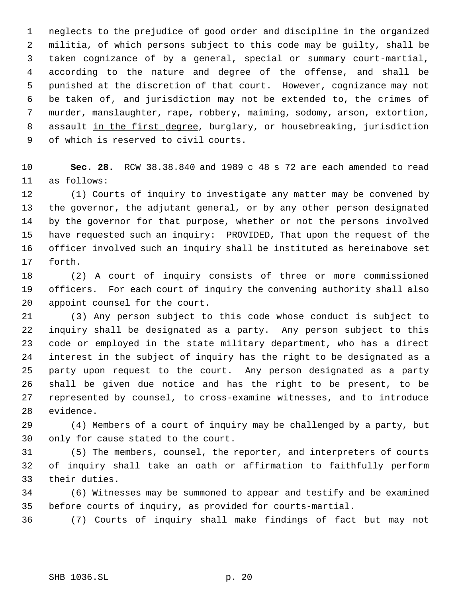neglects to the prejudice of good order and discipline in the organized militia, of which persons subject to this code may be guilty, shall be taken cognizance of by a general, special or summary court-martial, according to the nature and degree of the offense, and shall be punished at the discretion of that court. However, cognizance may not be taken of, and jurisdiction may not be extended to, the crimes of murder, manslaughter, rape, robbery, maiming, sodomy, arson, extortion, 8 assault in the first degree, burglary, or housebreaking, jurisdiction of which is reserved to civil courts.

 **Sec. 28.** RCW 38.38.840 and 1989 c 48 s 72 are each amended to read as follows:

 (1) Courts of inquiry to investigate any matter may be convened by the governor, the adjutant general, or by any other person designated by the governor for that purpose, whether or not the persons involved have requested such an inquiry: PROVIDED, That upon the request of the officer involved such an inquiry shall be instituted as hereinabove set forth.

 (2) A court of inquiry consists of three or more commissioned officers. For each court of inquiry the convening authority shall also appoint counsel for the court.

 (3) Any person subject to this code whose conduct is subject to inquiry shall be designated as a party. Any person subject to this code or employed in the state military department, who has a direct interest in the subject of inquiry has the right to be designated as a party upon request to the court. Any person designated as a party shall be given due notice and has the right to be present, to be represented by counsel, to cross-examine witnesses, and to introduce evidence.

 (4) Members of a court of inquiry may be challenged by a party, but only for cause stated to the court.

 (5) The members, counsel, the reporter, and interpreters of courts of inquiry shall take an oath or affirmation to faithfully perform their duties.

 (6) Witnesses may be summoned to appear and testify and be examined before courts of inquiry, as provided for courts-martial.

(7) Courts of inquiry shall make findings of fact but may not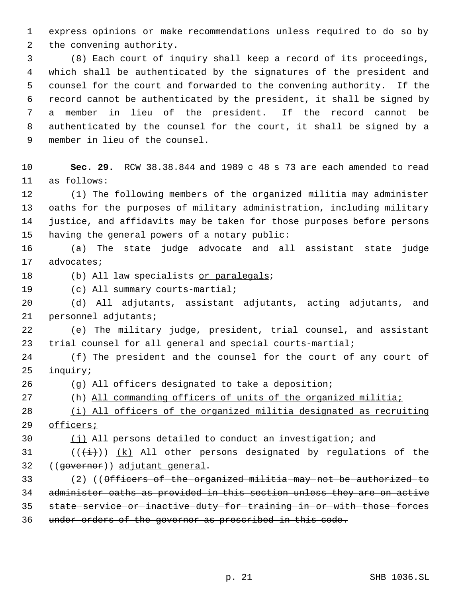express opinions or make recommendations unless required to do so by the convening authority.

 (8) Each court of inquiry shall keep a record of its proceedings, which shall be authenticated by the signatures of the president and counsel for the court and forwarded to the convening authority. If the record cannot be authenticated by the president, it shall be signed by a member in lieu of the president. If the record cannot be authenticated by the counsel for the court, it shall be signed by a member in lieu of the counsel.

 **Sec. 29.** RCW 38.38.844 and 1989 c 48 s 73 are each amended to read as follows:

 (1) The following members of the organized militia may administer oaths for the purposes of military administration, including military justice, and affidavits may be taken for those purposes before persons having the general powers of a notary public:

 (a) The state judge advocate and all assistant state judge advocates;

18 (b) All law specialists or paralegals;

(c) All summary courts-martial;

 (d) All adjutants, assistant adjutants, acting adjutants, and personnel adjutants;

 (e) The military judge, president, trial counsel, and assistant trial counsel for all general and special courts-martial;

 (f) The president and the counsel for the court of any court of inquiry;

(g) All officers designated to take a deposition;

(h) All commanding officers of units of the organized militia;

 (i) All officers of the organized militia designated as recruiting officers;

 $(j)$  All persons detailed to conduct an investigation; and

31 ( $(\frac{1}{1})$ ) (k) All other persons designated by regulations of the ((governor)) adjutant general.

33 (2) ((Officers of the organized militia may not be authorized to administer oaths as provided in this section unless they are on active state service or inactive duty for training in or with those forces under orders of the governor as prescribed in this code.